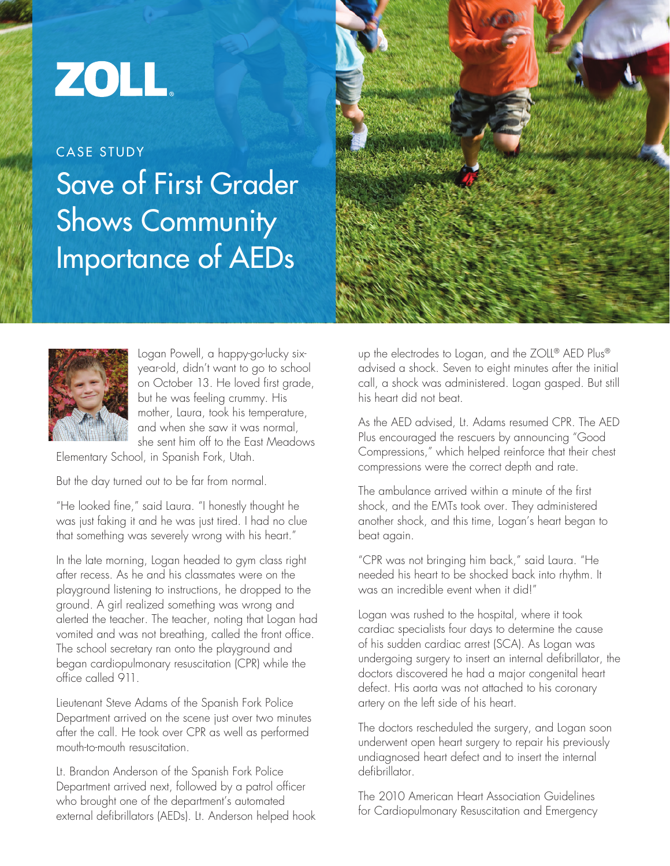## ZOLL.

Save of First Grader Shows Community Importance of AEDs CASE STUDY





Logan Powell, a happy-go-lucky sixyear-old, didn't want to go to school on October 13. He loved first grade, but he was feeling crummy. His mother, Laura, took his temperature, and when she saw it was normal, she sent him off to the East Meadows

Elementary School, in Spanish Fork, Utah.

But the day turned out to be far from normal.

"He looked fine," said Laura. "I honestly thought he was just faking it and he was just tired. I had no clue that something was severely wrong with his heart."

In the late morning, Logan headed to gym class right after recess. As he and his classmates were on the playground listening to instructions, he dropped to the ground. A girl realized something was wrong and alerted the teacher. The teacher, noting that Logan had vomited and was not breathing, called the front office. The school secretary ran onto the playground and began cardiopulmonary resuscitation (CPR) while the office called 911.

Lieutenant Steve Adams of the Spanish Fork Police Department arrived on the scene just over two minutes after the call. He took over CPR as well as performed mouth-to-mouth resuscitation.

Lt. Brandon Anderson of the Spanish Fork Police Department arrived next, followed by a patrol officer who brought one of the department's automated external defibrillators (AEDs). Lt. Anderson helped hook up the electrodes to Logan, and the ZOLL<sup>®</sup> AED Plus<sup>®</sup> advised a shock. Seven to eight minutes after the initial call, a shock was administered. Logan gasped. But still his heart did not beat.

As the AED advised, Lt. Adams resumed CPR. The AED Plus encouraged the rescuers by announcing "Good Compressions," which helped reinforce that their chest compressions were the correct depth and rate.

The ambulance arrived within a minute of the first shock, and the EMTs took over. They administered another shock, and this time, Logan's heart began to beat again.

"CPR was not bringing him back," said Laura. "He needed his heart to be shocked back into rhythm. It was an incredible event when it did!"

Logan was rushed to the hospital, where it took cardiac specialists four days to determine the cause of his sudden cardiac arrest (SCA). As Logan was undergoing surgery to insert an internal defibrillator, the doctors discovered he had a major congenital heart defect. His aorta was not attached to his coronary artery on the left side of his heart.

The doctors rescheduled the surgery, and Logan soon underwent open heart surgery to repair his previously undiagnosed heart defect and to insert the internal defibrillator.

The 2010 American Heart Association Guidelines for Cardiopulmonary Resuscitation and Emergency